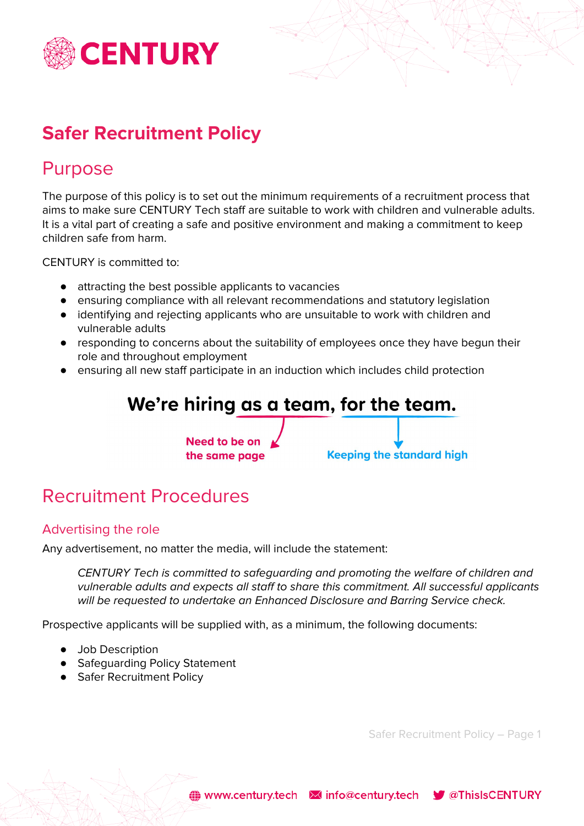

# **Safer Recruitment Policy**

### Purpose

The purpose of this policy is to set out the minimum requirements of a recruitment process that aims to make sure CENTURY Tech staff are suitable to work with children and vulnerable adults. It is a vital part of creating a safe and positive environment and making a commitment to keep children safe from harm.

CENTURY is committed to:

- attracting the best possible applicants to vacancies
- ensuring compliance with all relevant recommendations and statutory legislation
- identifying and rejecting applicants who are unsuitable to work with children and vulnerable adults
- responding to concerns about the suitability of employees once they have begun their role and throughout employment
- ensuring all new staff participate in an induction which includes child protection

### We're hiring as a team, for the team. Need to be on **Keeping the standard high** the same page

# Recruitment Procedures

### Advertising the role

Any advertisement, no matter the media, will include the statement:

CENTURY Tech is committed to safeguarding and promoting the welfare of children and vulnerable adults and expects all staff to share this commitment. All successful applicants will be requested to undertake an Enhanced Disclosure and Barring Service check.

Prospective applicants will be supplied with, as a minimum, the following documents:

- Job Description
- Safeguarding Policy Statement
- Safer Recruitment Policy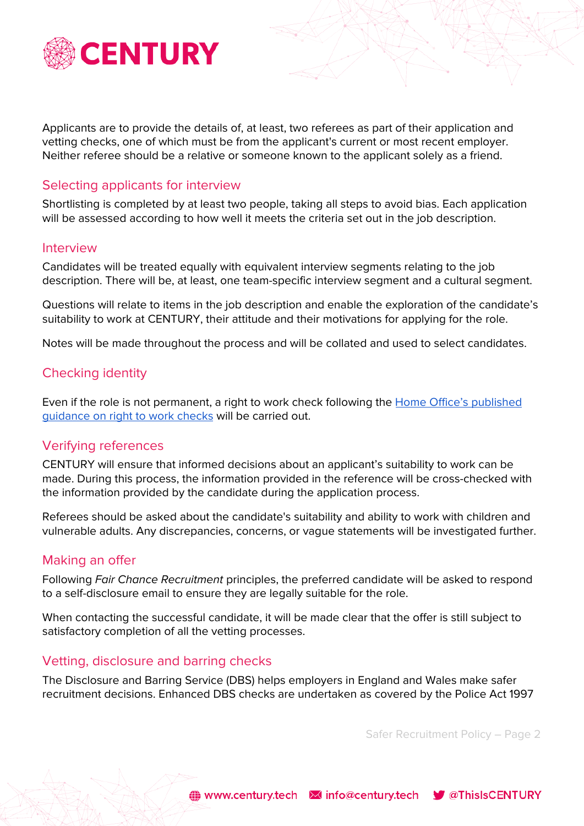

Applicants are to provide the details of, at least, two referees as part of their application and vetting checks, one of which must be from the applicant's current or most recent employer. Neither referee should be a relative or someone known to the applicant solely as a friend.

#### Selecting applicants for interview

Shortlisting is completed by at least two people, taking all steps to avoid bias. Each application will be assessed according to how well it meets the criteria set out in the job description.

#### Interview

Candidates will be treated equally with equivalent interview segments relating to the job description. There will be, at least, one team-specific interview segment and a cultural segment.

Questions will relate to items in the job description and enable the exploration of the candidate's suitability to work at CENTURY, their attitude and their motivations for applying for the role.

Notes will be made throughout the process and will be collated and used to select candidates.

#### Checking identity

Even if the role is not permanent, a right to work check following the Home Office's [published](https://www.gov.uk/government/publications/right-to-work-checks-employers-guide) [guidance](https://www.gov.uk/government/publications/right-to-work-checks-employers-guide) on right to work checks will be carried out.

#### Verifying references

CENTURY will ensure that informed decisions about an applicant's suitability to work can be made. During this process, the information provided in the reference will be cross-checked with the information provided by the candidate during the application process.

Referees should be asked about the candidate's suitability and ability to work with children and vulnerable adults. Any discrepancies, concerns, or vague statements will be investigated further.

#### Making an offer

Following Fair Chance Recruitment principles, the preferred candidate will be asked to respond to a self-disclosure email to ensure they are legally suitable for the role.

When contacting the successful candidate, it will be made clear that the offer is still subject to satisfactory completion of all the vetting processes.

#### Vetting, disclosure and barring checks

The Disclosure and Barring Service (DBS) helps employers in England and Wales make safer recruitment decisions. Enhanced DBS checks are undertaken as covered by the Police Act 1997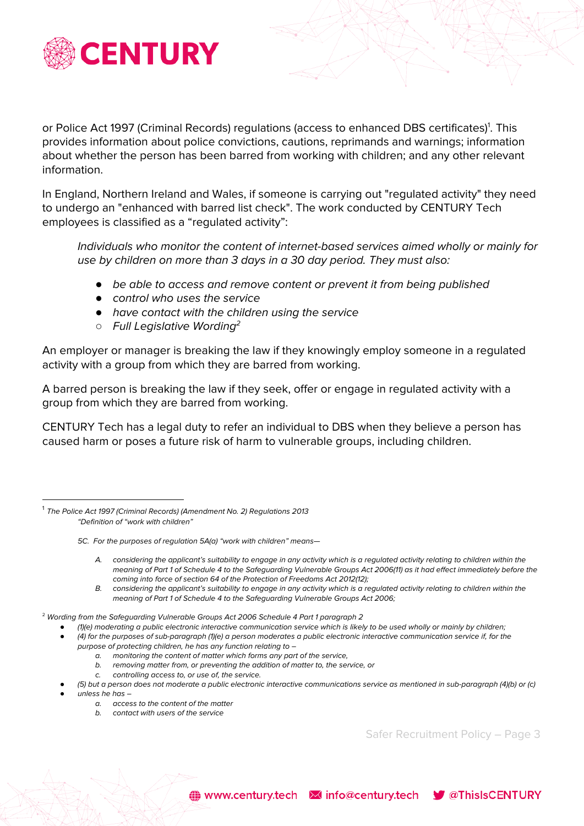

or Police Act 1997 (Criminal Records) regulations (access to enhanced DBS certificates)<sup>1</sup>. This provides information about police convictions, cautions, reprimands and warnings; information about whether the person has been barred from working with children; and any other relevant information.

In England, Northern Ireland and Wales, if someone is carrying out "regulated activity" they need to undergo an "enhanced with barred list check". The work conducted by CENTURY Tech employees is classified as a "regulated activity":

Individuals who monitor the content of internet-based services aimed wholly or mainly for use by children on more than 3 days in a 30 day period. They must also:

- *●* be able to access and remove content or prevent it from being published
- *●* control who uses the service
- *●* have contact with the children using the service
- *○* Full Legislative Wording 2

An employer or manager is breaking the law if they knowingly employ someone in a regulated activity with a group from which they are barred from working.

A barred person is breaking the law if they seek, offer or engage in regulated activity with a group from which they are barred from working.

CENTURY Tech has a legal duty to refer an individual to DBS when they believe a person has caused harm or poses a future risk of harm to vulnerable groups, including children.

- A. considering the applicant's suitability to engage in any activity which is a regulated activity relating to children within the meaning of Part 1 of Schedule 4 to the Safeguarding Vulnerable Groups Act 2006(11) as it had effect immediately before the coming into force of section 64 of the Protection of Freedoms Act 2012(12);
- B. considering the applicant's suitability to engage in any activity which is a regulated activity relating to children within the meaning of Part 1 of Schedule 4 to the Safeguarding Vulnerable Groups Act 2006;

 $2$  Wording from the Safeguarding Vulnerable Groups Act 2006 Schedule 4 Part 1 paragraph 2

- *●* (1)(e) moderating a public electronic interactive communication service which is likely to be used wholly or mainly by children; *●* (4) for the purposes of sub-paragraph (1)(e) a person moderates a public electronic interactive communication service if, for the purpose of protecting children, he has any function relating to –
	- a. monitoring the content of matter which forms any part of the service,
	- b. removing matter from, or preventing the addition of matter to, the service, or
	- c. controlling access to, or use of, the service.
	- *●* (5) but a person does not moderate a public electronic interactive communications service as mentioned in sub-paragraph (4)(b) or (c) *●* unless he has –

(a) www.century.tech Minfo@century.tech V @ThisIsCENTURY

- - a. access to the content of the matter
	- b. contact with users of the service

<sup>&</sup>lt;sup>1</sup> The Police Act 1997 (Criminal Records) (Amendment No. 2) Regulations 2013 "Definition of "work with children"

<sup>5</sup>C. For the purposes of regulation 5A(a) "work with children" means—